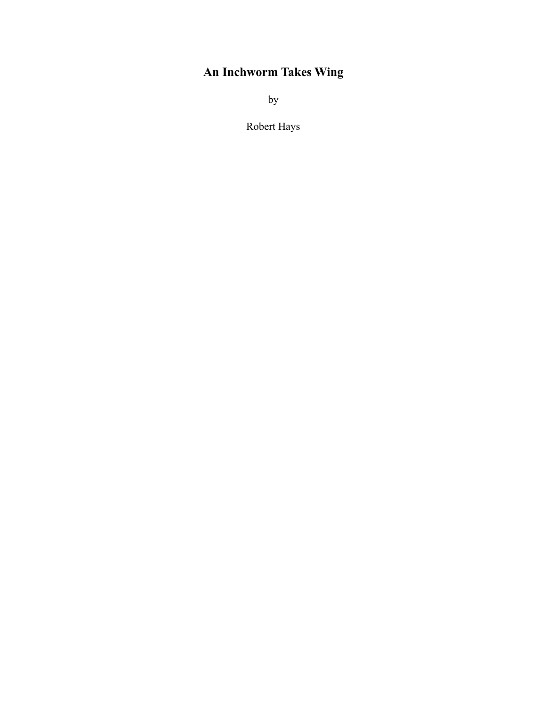## **An Inchworm Takes Wing**

by

Robert Hays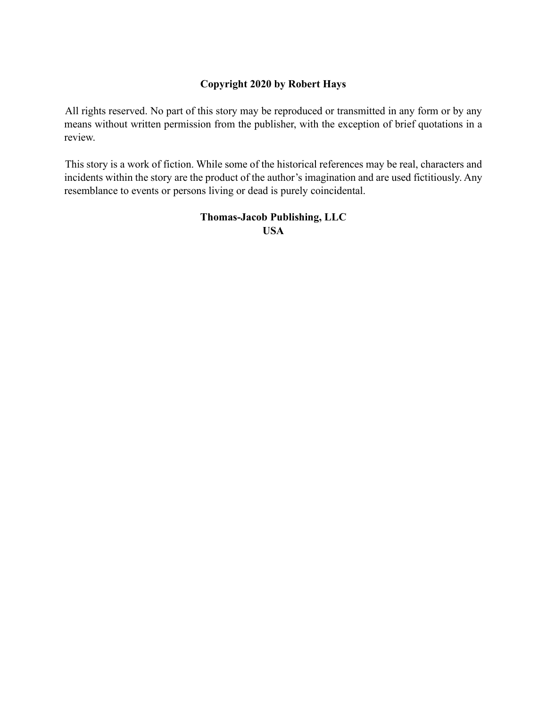## **Copyright 2020 by Robert Hays**

All rights reserved. No part of this story may be reproduced or transmitted in any form or by any means without written permission from the publisher, with the exception of brief quotations in a review.

This story is a work of fiction. While some of the historical references may be real, characters and incidents within the story are the product of the author's imagination and are used fictitiously. Any resemblance to events or persons living or dead is purely coincidental.

> **Thomas-Jacob Publishing, LLC USA**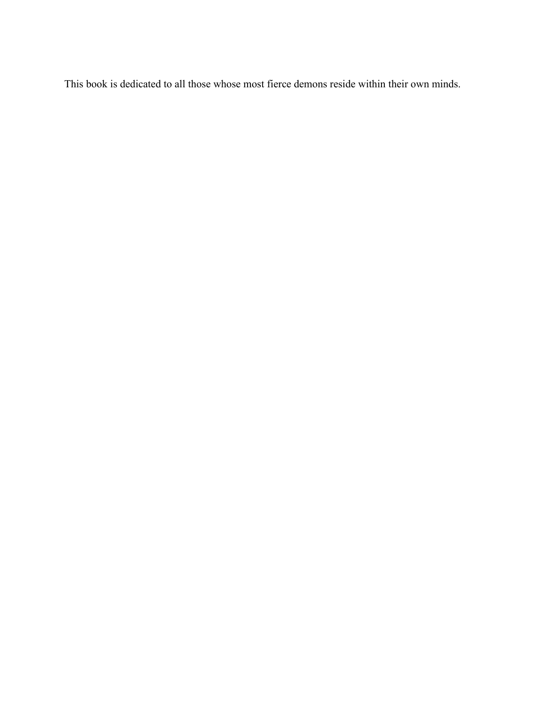This book is dedicated to all those whose most fierce demons reside within their own minds.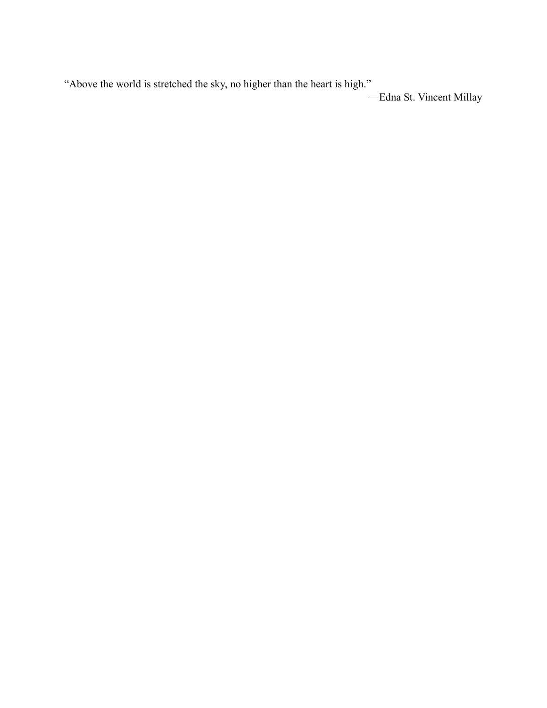"Above the world is stretched the sky, no higher than the heart is high." —Edna St. Vincent Millay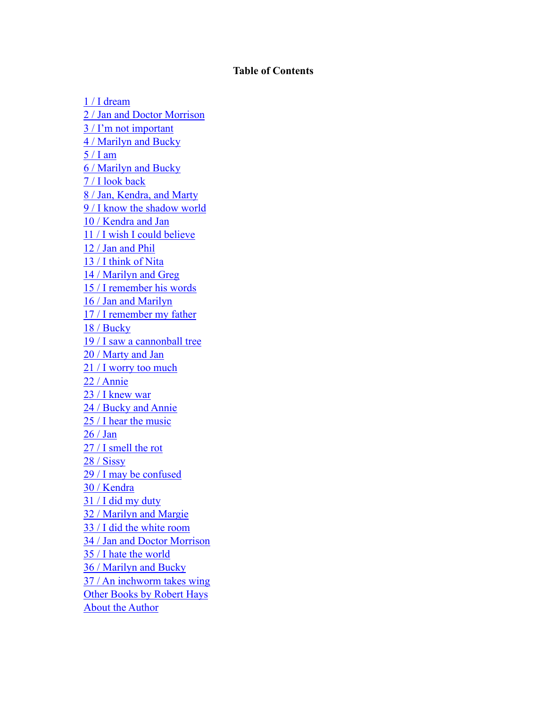## **Table of Contents**

[1 / I dream](#page-5-0) 2 / Jan and Doctor Morrison 3 / I'm not important 4 / Marilyn and Bucky 5 / I am 6 / Marilyn and Bucky 7 / I look back 8 / Jan, Kendra, and Marty 9 / I know the shadow world 10 / Kendra and Jan 11 / I wish I could believe 12 / Jan and Phil 13 / I think of Nita 14 / Marilyn and Greg 15 / I remember his words 16 / Jan and Marilyn 17 / I remember my father 18 / Bucky 19 / I saw a cannonball tree 20 / Marty and Jan 21 / I worry too much 22 / Annie 23 / I knew war 24 / Bucky and Annie 25 / I hear the music 26 / Jan 27 / I smell the rot 28 / Sissy 29 / I may be confused 30 / Kendra 31 / I did my duty 32 / Marilyn and Margie 33 / I did the white room 34 / Jan and Doctor Morrison 35 / I hate the world 36 / Marilyn and Bucky 37 / An inchworm takes wing Other Books by Robert Hays About the Author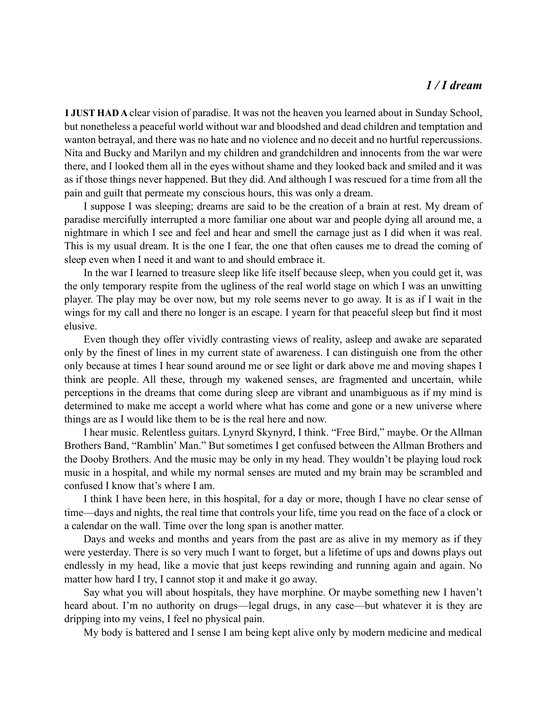## *1 / I dream*

<span id="page-5-0"></span>**I JUST HAD A** clear vision of paradise. It was not the heaven you learned about in Sunday School, but nonetheless a peaceful world without war and bloodshed and dead children and temptation and wanton betrayal, and there was no hate and no violence and no deceit and no hurtful repercussions. Nita and Bucky and Marilyn and my children and grandchildren and innocents from the war were there, and I looked them all in the eyes without shame and they looked back and smiled and it was as if those things never happened. But they did. And although I was rescued for a time from all the pain and guilt that permeate my conscious hours, this was only a dream.

I suppose I was sleeping; dreams are said to be the creation of a brain at rest. My dream of paradise mercifully interrupted a more familiar one about war and people dying all around me, a nightmare in which I see and feel and hear and smell the carnage just as I did when it was real. This is my usual dream. It is the one I fear, the one that often causes me to dread the coming of sleep even when I need it and want to and should embrace it.

In the war I learned to treasure sleep like life itself because sleep, when you could get it, was the only temporary respite from the ugliness of the real world stage on which I was an unwitting player. The play may be over now, but my role seems never to go away. It is as if I wait in the wings for my call and there no longer is an escape. I yearn for that peaceful sleep but find it most elusive.

Even though they offer vividly contrasting views of reality, asleep and awake are separated only by the finest of lines in my current state of awareness. I can distinguish one from the other only because at times I hear sound around me or see light or dark above me and moving shapes I think are people. All these, through my wakened senses, are fragmented and uncertain, while perceptions in the dreams that come during sleep are vibrant and unambiguous as if my mind is determined to make me accept a world where what has come and gone or a new universe where things are as I would like them to be is the real here and now.

I hear music. Relentless guitars. Lynyrd Skynyrd, I think. "Free Bird," maybe. Or the Allman Brothers Band, "Ramblin' Man." But sometimes I get confused between the Allman Brothers and the Dooby Brothers. And the music may be only in my head. They wouldn't be playing loud rock music in a hospital, and while my normal senses are muted and my brain may be scrambled and confused I know that's where I am.

I think I have been here, in this hospital, for a day or more, though I have no clear sense of time—days and nights, the real time that controls your life, time you read on the face of a clock or a calendar on the wall. Time over the long span is another matter.

Days and weeks and months and years from the past are as alive in my memory as if they were yesterday. There is so very much I want to forget, but a lifetime of ups and downs plays out endlessly in my head, like a movie that just keeps rewinding and running again and again. No matter how hard I try, I cannot stop it and make it go away.

Say what you will about hospitals, they have morphine. Or maybe something new I haven't heard about. I'm no authority on drugs—legal drugs, in any case—but whatever it is they are dripping into my veins, I feel no physical pain.

My body is battered and I sense I am being kept alive only by modern medicine and medical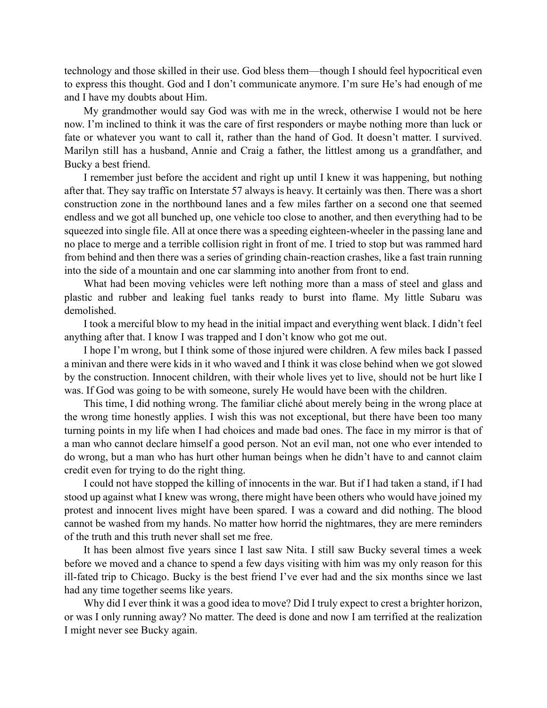technology and those skilled in their use. God bless them—though I should feel hypocritical even to express this thought. God and I don't communicate anymore. I'm sure He's had enough of me and I have my doubts about Him.

My grandmother would say God was with me in the wreck, otherwise I would not be here now. I'm inclined to think it was the care of first responders or maybe nothing more than luck or fate or whatever you want to call it, rather than the hand of God. It doesn't matter. I survived. Marilyn still has a husband, Annie and Craig a father, the littlest among us a grandfather, and Bucky a best friend.

I remember just before the accident and right up until I knew it was happening, but nothing after that. They say traffic on Interstate 57 always is heavy. It certainly was then. There was a short construction zone in the northbound lanes and a few miles farther on a second one that seemed endless and we got all bunched up, one vehicle too close to another, and then everything had to be squeezed into single file. All at once there was a speeding eighteen-wheeler in the passing lane and no place to merge and a terrible collision right in front of me. I tried to stop but was rammed hard from behind and then there was a series of grinding chain-reaction crashes, like a fast train running into the side of a mountain and one car slamming into another from front to end.

What had been moving vehicles were left nothing more than a mass of steel and glass and plastic and rubber and leaking fuel tanks ready to burst into flame. My little Subaru was demolished.

I took a merciful blow to my head in the initial impact and everything went black. I didn't feel anything after that. I know I was trapped and I don't know who got me out.

I hope I'm wrong, but I think some of those injured were children. A few miles back I passed a minivan and there were kids in it who waved and I think it was close behind when we got slowed by the construction. Innocent children, with their whole lives yet to live, should not be hurt like I was. If God was going to be with someone, surely He would have been with the children.

This time, I did nothing wrong. The familiar cliché about merely being in the wrong place at the wrong time honestly applies. I wish this was not exceptional, but there have been too many turning points in my life when I had choices and made bad ones. The face in my mirror is that of a man who cannot declare himself a good person. Not an evil man, not one who ever intended to do wrong, but a man who has hurt other human beings when he didn't have to and cannot claim credit even for trying to do the right thing.

I could not have stopped the killing of innocents in the war. But if I had taken a stand, if I had stood up against what I knew was wrong, there might have been others who would have joined my protest and innocent lives might have been spared. I was a coward and did nothing. The blood cannot be washed from my hands. No matter how horrid the nightmares, they are mere reminders of the truth and this truth never shall set me free.

It has been almost five years since I last saw Nita. I still saw Bucky several times a week before we moved and a chance to spend a few days visiting with him was my only reason for this ill-fated trip to Chicago. Bucky is the best friend I've ever had and the six months since we last had any time together seems like years.

Why did I ever think it was a good idea to move? Did I truly expect to crest a brighter horizon, or was I only running away? No matter. The deed is done and now I am terrified at the realization I might never see Bucky again.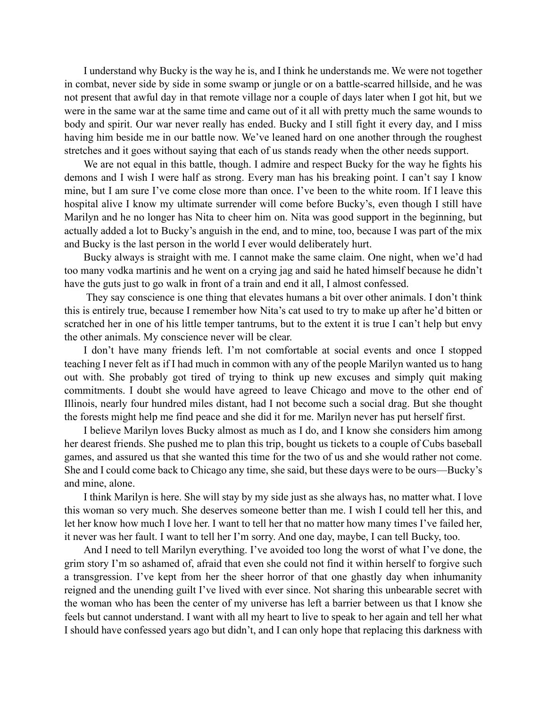I understand why Bucky is the way he is, and I think he understands me. We were not together in combat, never side by side in some swamp or jungle or on a battle-scarred hillside, and he was not present that awful day in that remote village nor a couple of days later when I got hit, but we were in the same war at the same time and came out of it all with pretty much the same wounds to body and spirit. Our war never really has ended. Bucky and I still fight it every day, and I miss having him beside me in our battle now. We've leaned hard on one another through the roughest stretches and it goes without saying that each of us stands ready when the other needs support.

We are not equal in this battle, though. I admire and respect Bucky for the way he fights his demons and I wish I were half as strong. Every man has his breaking point. I can't say I know mine, but I am sure I've come close more than once. I've been to the white room. If I leave this hospital alive I know my ultimate surrender will come before Bucky's, even though I still have Marilyn and he no longer has Nita to cheer him on. Nita was good support in the beginning, but actually added a lot to Bucky's anguish in the end, and to mine, too, because I was part of the mix and Bucky is the last person in the world I ever would deliberately hurt.

Bucky always is straight with me. I cannot make the same claim. One night, when we'd had too many vodka martinis and he went on a crying jag and said he hated himself because he didn't have the guts just to go walk in front of a train and end it all, I almost confessed.

They say conscience is one thing that elevates humans a bit over other animals. I don't think this is entirely true, because I remember how Nita's cat used to try to make up after he'd bitten or scratched her in one of his little temper tantrums, but to the extent it is true I can't help but envy the other animals. My conscience never will be clear.

I don't have many friends left. I'm not comfortable at social events and once I stopped teaching I never felt as if I had much in common with any of the people Marilyn wanted us to hang out with. She probably got tired of trying to think up new excuses and simply quit making commitments. I doubt she would have agreed to leave Chicago and move to the other end of Illinois, nearly four hundred miles distant, had I not become such a social drag. But she thought the forests might help me find peace and she did it for me. Marilyn never has put herself first.

I believe Marilyn loves Bucky almost as much as I do, and I know she considers him among her dearest friends. She pushed me to plan this trip, bought us tickets to a couple of Cubs baseball games, and assured us that she wanted this time for the two of us and she would rather not come. She and I could come back to Chicago any time, she said, but these days were to be ours—Bucky's and mine, alone.

I think Marilyn is here. She will stay by my side just as she always has, no matter what. I love this woman so very much. She deserves someone better than me. I wish I could tell her this, and let her know how much I love her. I want to tell her that no matter how many times I've failed her, it never was her fault. I want to tell her I'm sorry. And one day, maybe, I can tell Bucky, too.

And I need to tell Marilyn everything. I've avoided too long the worst of what I've done, the grim story I'm so ashamed of, afraid that even she could not find it within herself to forgive such a transgression. I've kept from her the sheer horror of that one ghastly day when inhumanity reigned and the unending guilt I've lived with ever since. Not sharing this unbearable secret with the woman who has been the center of my universe has left a barrier between us that I know she feels but cannot understand. I want with all my heart to live to speak to her again and tell her what I should have confessed years ago but didn't, and I can only hope that replacing this darkness with